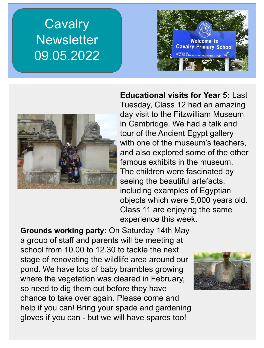## **Cavalry Newsletter** 09.05.2022





**Educational visits for Year 5:** Last Tuesday, Class 12 had an amazing day visit to the Fitzwilliam Museum in Cambridge. We had a talk and tour of the Ancient Egypt gallery with one of the museum's teachers, and also explored some of the other famous exhibits in the museum. The children were fascinated by seeing the beautiful artefacts, including examples of Egyptian objects which were 5,000 years old. Class 11 are enjoying the same experience this week.

**Grounds working party:** On Saturday 14th May a group of staff and parents will be meeting at school from 10.00 to 12.30 to tackle the next stage of renovating the wildlife area around our pond. We have lots of baby brambles growing where the vegetation was cleared in February, so need to dig them out before they have chance to take over again. Please come and help if you can! Bring your spade and gardening gloves if you can - but we will have spares too!